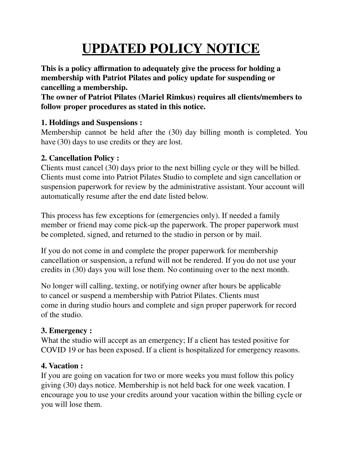# **UPDATED POLICY NOTICE**

**This is a policy affirmation to adequately give the process for holding a membership with Patriot Pilates and policy update for suspending or cancelling a membership.**

**The owner of Patriot Pilates (Mariel Rimkus) requires all clients/members to follow proper procedures as stated in this notice.**

# **1. Holdings and Suspensions :**

Membership cannot be held after the (30) day billing month is completed. You have (30) days to use credits or they are lost.

### **2. Cancellation Policy :**

Clients must cancel (30) days prior to the next billing cycle or they will be billed. Clients must come into Patriot Pilates Studio to complete and sign cancellation or suspension paperwork for review by the administrative assistant. Your account will automatically resume after the end date listed below.

This process has few exceptions for (emergencies only). If needed a family member or friend may come pick-up the paperwork. The proper paperwork must be completed, signed, and returned to the studio in person or by mail.

If you do not come in and complete the proper paperwork for membership cancellation or suspension, a refund will not be rendered. If you do not use your credits in (30) days you will lose them. No continuing over to the next month.

No longer will calling, texting, or notifying owner after hours be applicable to cancel or suspend a membership with Patriot Pilates. Clients must come in during studio hours and complete and sign proper paperwork for record of the studio.

# **3. Emergency :**

What the studio will accept as an emergency; If a client has tested positive for COVID 19 or has been exposed. If a client is hospitalized for emergency reasons.

# **4. Vacation :**

If you are going on vacation for two or more weeks you must follow this policy giving (30) days notice. Membership is not held back for one week vacation. I encourage you to use your credits around your vacation within the billing cycle or you will lose them.